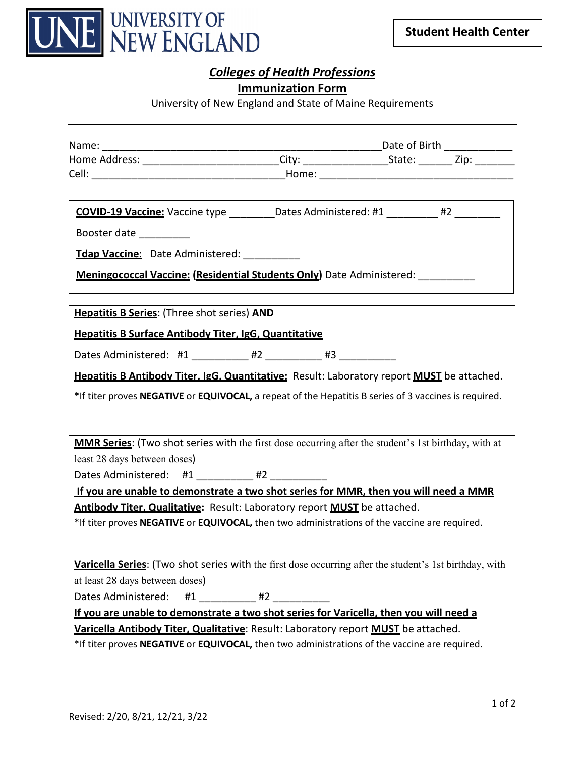

# *Colleges of Health Professions*

#### **Immunization Form**

University of New England and State of Maine Requirements

| Home Address: ___________________________City: ___________________________________Zip: _____________        |  |  |  |  |  |
|-------------------------------------------------------------------------------------------------------------|--|--|--|--|--|
|                                                                                                             |  |  |  |  |  |
|                                                                                                             |  |  |  |  |  |
| COVID-19 Vaccine: Vaccine type ___________Dates Administered: #1 _________ #2 _________                     |  |  |  |  |  |
| Booster date __________                                                                                     |  |  |  |  |  |
| Tdap Vaccine: Date Administered:                                                                            |  |  |  |  |  |
| <b>Meningococcal Vaccine: (Residential Students Only)</b> Date Administered: __________                     |  |  |  |  |  |
|                                                                                                             |  |  |  |  |  |
| <b>Hepatitis B Series:</b> (Three shot series) AND                                                          |  |  |  |  |  |
| <b>Hepatitis B Surface Antibody Titer, IgG, Quantitative</b>                                                |  |  |  |  |  |
| Dates Administered: #1 _________ #2 _______ #3 ________                                                     |  |  |  |  |  |
| <b>Hepatitis B Antibody Titer, IgG, Quantitative:</b> Result: Laboratory report <b>MUST</b> be attached.    |  |  |  |  |  |
| *If titer proves NEGATIVE or EQUIVOCAL, a repeat of the Hepatitis B series of 3 vaccines is required.       |  |  |  |  |  |
|                                                                                                             |  |  |  |  |  |
| <b>MMR Series:</b> (Two shot series with the first dose occurring after the student's 1st birthday, with at |  |  |  |  |  |
| least 28 days between doses)                                                                                |  |  |  |  |  |

Dates Administered: #1 \_\_\_\_\_\_\_\_\_\_ #2 \_\_\_

**If you are unable to demonstrate a two shot series for MMR, then you will need a MMR Antibody Titer, Qualitative:** Result: Laboratory report **MUST** be attached.

\*If titer proves **NEGATIVE** or **EQUIVOCAL,** then two administrations of the vaccine are required.

**Varicella Series**: (Two shot series with the first dose occurring after the student's 1st birthday, with at least 28 days between doses)

Dates Administered: #1  $#2$ 

**If you are unable to demonstrate a two shot series for Varicella, then you will need a** 

**Varicella Antibody Titer, Qualitative**: Result: Laboratory report **MUST** be attached.

\*If titer proves **NEGATIVE** or **EQUIVOCAL,** then two administrations of the vaccine are required.